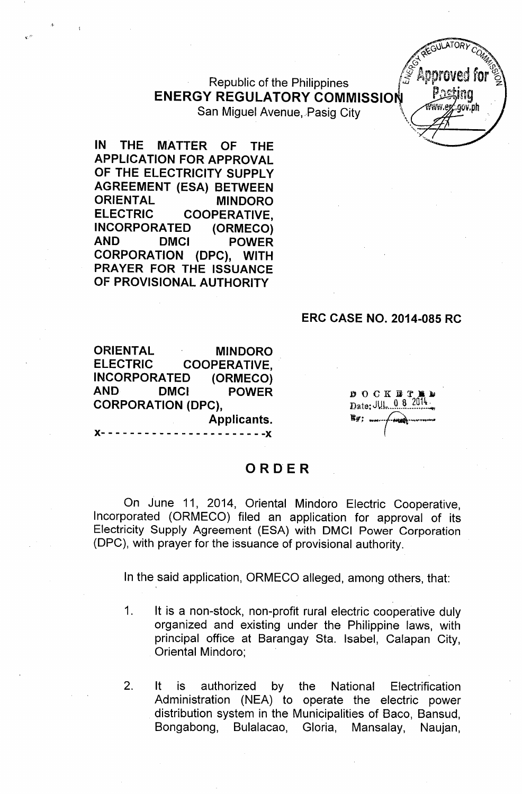**Republic of the Philippines ENERGY REGULATORY COMMISSION** San Miguel Avenue, Pasig City

IN THE MATTER OF THE APPLICATION FOR APPROVAL OF THE ELECTRICITY SUPPLY AGREEMENT (ESA) BETWEEN ORIENTAL MINDORO ELECTRIC COOPERATIVE, INCORPORATED (ORMECO) AND DMCI POWER CORPORATION (DPC), WITH PRAYER FOR THE ISSUANCE OF PROVISIONAL AUTHORITY

 $\mathbf{c}$ 

#### ERC CASE NO. 2014-085 RC

ORIENTAL MINDORO ELECTRIC COOPERATIVE, INCORPORATED (ORMECO) AND DMCI POWER CORPORATION (DPC), Applicants.  $\cdot$  - - - - - - - - -  $\chi$ 

**DOCKET** Date: JUL 08

### ORDER

On June 11, 2014, Oriental Mindoro Electric Cooperative, Incorporated (ORMECO) filed an application for approval of its Electricity Supply Agreement (ESA) with DMCI Power Corporation (DPC), with prayer for the issuance of provisional authority.

In the said application, ORMECO alleged, among others, that:

- 1. It is a non-stock, non-profit rural electric cooperative duly organized and existing under the Philippine laws, with principal office at Barangay Sta. Isabel, Calapan City, Oriental Mindoro;
- 2. It is authorized by the National Electrification Administration (NEA) to operate the electric power distribution system in the Municipalities of Baco, Bansud, Bongabong, Bulalacao, Gloria, Mansalay, Naujan,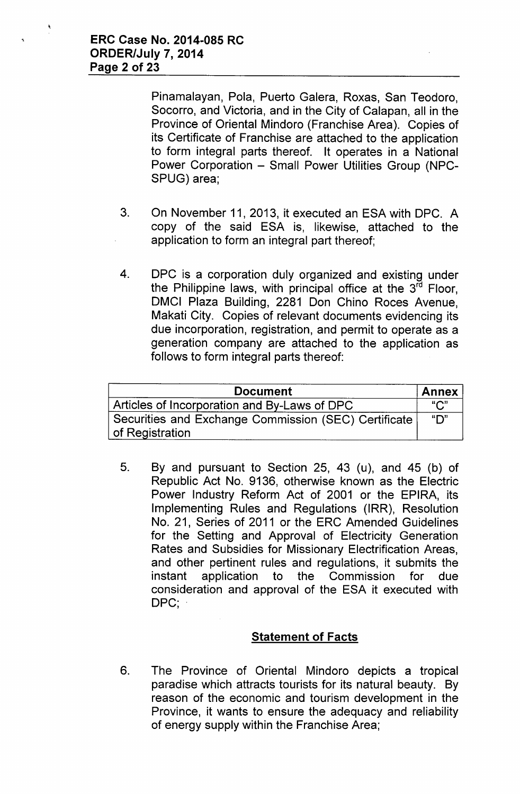Pinamalayan, Pola, Puerto Galera, Roxas, San Teodoro, Socorro, and Victoria, and in the City of Calapan, all in the Province of Oriental Mindoro (Franchise Area). Copies of its Certificate of Franchise are attached to the application to form integral parts thereof. It operates in a National Power Corporation - Small Power Utilities Group (NPC-SPUG) area;

- 3. On November 11, 2013, it executed an ESA with OPC. A copy of the said ESA is, likewise, attached to the application to form an integral part thereof;
- 4. OPC is a corporation duly organized and existing under the Philippine laws, with principal office at the 3<sup>rd</sup> Floor, OMCI Plaza Building, 2281 Don Chino Roces Avenue, Makati City. Copies of relevant documents evidencing its due incorporation, registration, and permit to operate as a generation company are attached to the application as follows to form integral parts thereof:

| <b>Document</b>                                                         | <b>Annex</b>     |
|-------------------------------------------------------------------------|------------------|
| Articles of Incorporation and By-Laws of DPC                            | " $C$ "          |
| Securities and Exchange Commission (SEC) Certificate<br>of Registration | " $\mathsf{D}$ " |

5. By and pursuant to Section 25, 43 (u), and 45 (b) of Republic Act No. 9136, otherwise known as the Electric Power Industry Reform Act of 2001 or the EPIRA, its Implementing Rules and Regulations (IRR), Resolution No. 21, Series of 2011 or the ERC Amended Guidelines for the Setting and Approval of Electricity Generation Rates and Subsidies for Missionary Electrification Areas, and other pertinent rules and regulations, it submits the instant application to the Commission for due consideration and approval of the ESA it executed with DPC;

### **Statement of Facts**

6. The Province of Oriental Mindoro depicts a tropical paradise which attracts tourists for its natural beauty. By reason of the economic and tourism development in the Province, it wants to ensure the adequacy and reliability of energy supply within the Franchise Area;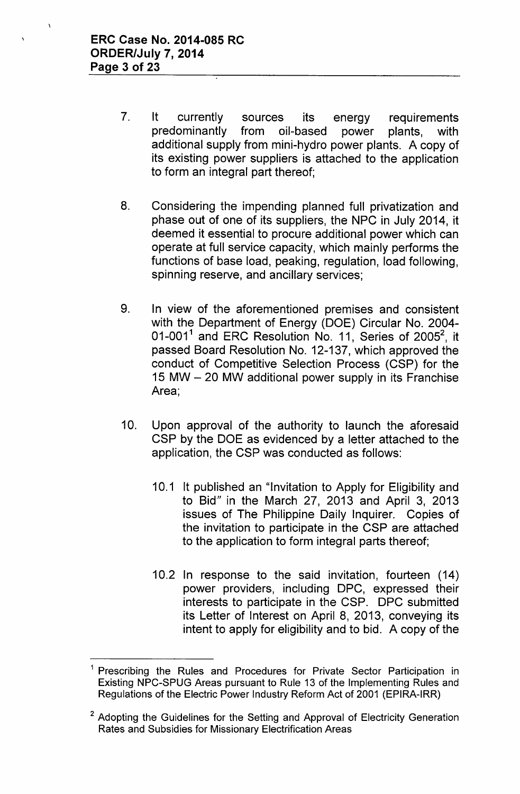- 7. It currently sources its energy requirements predominantly from oil-based power plants, with additional supply from mini-hydro power plants. A copy of its existing power suppliers is attached to the application to form an integral part thereof;
- 8. Considering the impending planned full privatization and phase out of one of its suppliers, the NPC in July 2014, it deemed it essential to procure additional power which can operate at full service capacity, which mainly performs the functions of base load, peaking, regulation, load following, spinning reserve, and ancillary services;
- 9. In view of the aforementioned premises and consistent with the Department of Energy (DOE) Circular No. 2004- 01-001 $^1$  and ERC Resolution No. 11, Series of 2005 $^2$ , it passed Board Resolution No. 12-137, which approved the conduct of Competitive Selection Process (CSP) for the 15 MW - 20 MW additional power supply in its Franchise Area;
- 10. Upon approval of the authority to launch the aforesaid CSP by the DOE as evidenced by a letter attached to the application, the CSP was conducted as follows:
	- 10.1 It published an "Invitation to Apply for Eligibility and to Bid" in the March 27, 2013 and April 3, 2013 issues of The Philippine Daily Inquirer. Copies of the invitation to participate in the CSP are attached to the application to form integral parts thereof;
	- 10.2 In response to the said invitation, fourteen (14) power providers, including DPC, expressed their interests to participate in the CSP. DPC submitted its Letter of Interest on April 8, 2013, conveying its intent to apply for eligibility and to bid. A copy of the

<sup>&</sup>lt;sup>1</sup> Prescribing the Rules and Procedures for Private Sector Participation in Existing NPC-SPUG Areas pursuant to Rule 13 of the Implementing Rules and Regulations of the Electric Power Industry Reform Act of 2001 (EPIRA-IRR)

<sup>&</sup>lt;sup>2</sup> Adopting the Guidelines for the Setting and Approval of Electricity Generation Rates and Subsidies for Missionary Electrification Areas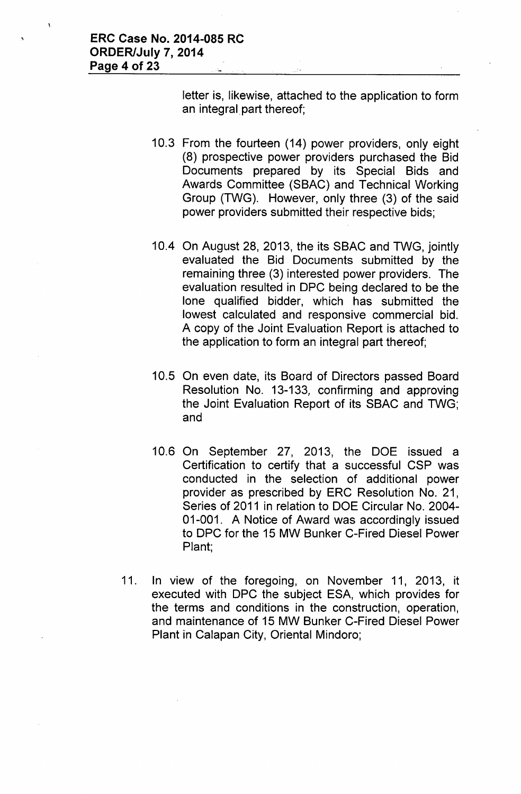letter is, likewise, attached to the application to form an integral part thereof;

- 10.3 From the fourteen (14) power providers, only eight (8) prospective power providers purchased the Bid Documents prepared by its Special Bids and Awards Committee (SBAC) and Technical Working Group (TWG). However, only three (3) of the said power providers submitted their respective bids;
- 10.4 On August 28, 2013, the its SBAC and TWG, jointly evaluated the Bid Documents submitted by the remaining three (3) interested power providers. The evaluation resulted in DPC being declared to be the lone qualified bidder, which has submitted the lowest calculated and responsive commercial bid. A copy of the Joint Evaluation Report is attached to the application to form an integral part thereof;
- 10.5 On even date, its Board of Directors passed Board Resolution No. 13-133, confirming and approving the Joint Evaluation Report of its SBAC and TWG; and
- 10.6 On September 27, 2013, the DOE issued a Certification to certify that a successful CSP was conducted in the selection of additional power provider as prescribed by ERC Resolution No. 21, Series of 2011 in relation to DOE Circular No. 2004- 01-001. A Notice of Award was accordingly issued to DPC for the 15 MW Bunker C-Fired Diesel Power Plant;
- 11. In view of the foregoing, on November 11, 2013, it executed with DPC the subject ESA, which provides for the terms and conditions in the construction, operation, and maintenance of 15 MW Bunker C-Fired Diesel Power Plant in Calapan City, Oriental Mindoro;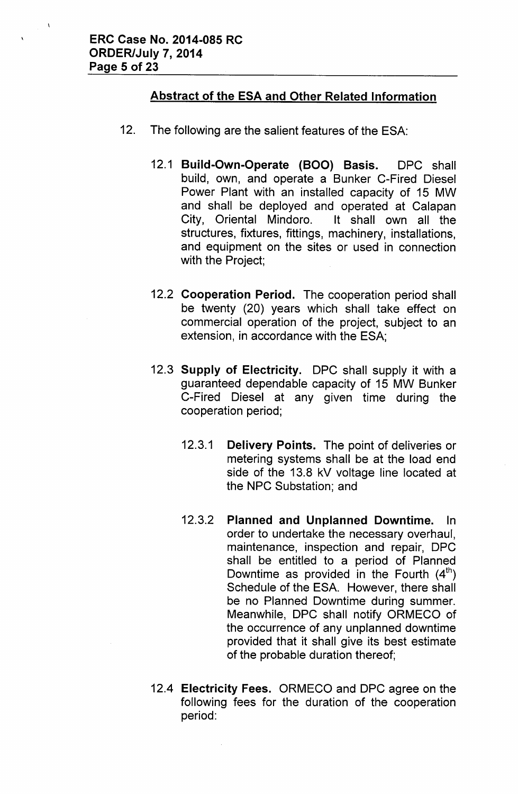# Abstract of the ESA and Other Related Information

- 12. The following are the salient features of the ESA:
	- 12.1 Build-Own-Operate (BOO) Basis. DPC shall build, own, and operate a Bunker C-Fired Diesel Power Plant with an installed capacity of 15 MW and shall be deployed and operated at Calapan City, Oriental Mindoro. It shall own all the structures, fixtures, fittings, machinery, installations, and equipment on the sites or used in connection with the Project;
	- 12.2 Cooperation Period. The cooperation period shall be twenty (20) years which shall take effect on commercial operation of the project, subject to an extension, in accordance with the ESA;
	- 12.3 Supply of Electricity. DPC shall supply it with a guaranteed dependable capacity of 15 MW Bunker C-Fired Diesel at any given time during the cooperation period;
		- 12.3.1 Delivery Points. The point of deliveries or metering systems shall be at the load end side of the 13.8 kV voltage line located at the NPC Substation; and
		- 12.3.2 Planned and Unplanned Downtime. In order to undertake the necessary overhaul, maintenance, inspection and repair, DPC shall be entitled to a period of Planned Downtime as provided in the Fourth  $(4<sup>th</sup>)$ Schedule of the ESA. However, there shall be no Planned Downtime during summer. Meanwhile, DPC shall notify ORMECO of the occurrence of any unplanned downtime provided that it shall give its best estimate of the probable duration thereof;
	- 12.4 Electricity Fees. ORMECO and DPC agree on the following fees for the duration of the cooperation period: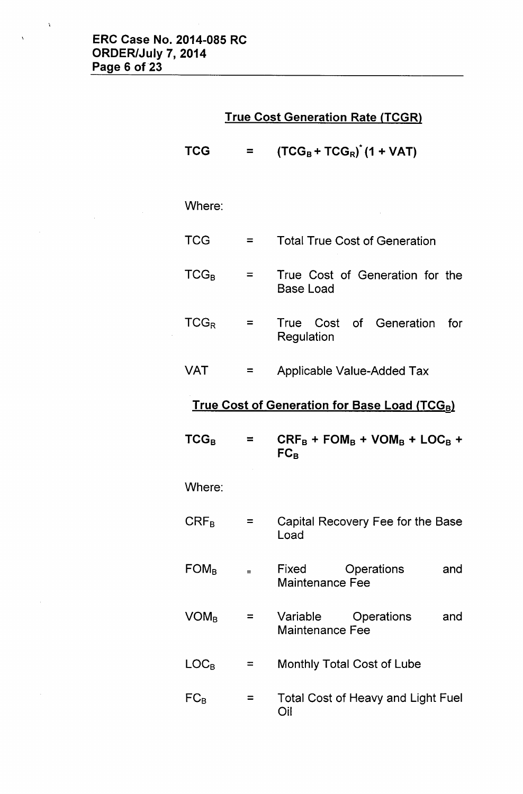$\label{eq:2.1} \frac{1}{\sqrt{2\pi}}\int_{\mathbb{R}^3}\frac{d\mu}{\sqrt{2\pi}}\left(\frac{d\mu}{\mu}\right)^2\frac{d\mu}{\mu}\left(\frac{d\mu}{\mu}\right)^2\frac{d\mu}{\mu}\left(\frac{d\mu}{\mu}\right)^2.$ 

 $\Delta$ 

 $\hat{\mathcal{A}}$ 

 $\overline{\mathbf{A}}$ 

# **True Cost Generation Rate (TCGR)**

| <b>TCG</b>                                          | ≕        | $(TCG_B + TCG_R)$ <sup><math>(1 + VAT)</math></sup>         |  |  |  |
|-----------------------------------------------------|----------|-------------------------------------------------------------|--|--|--|
| Where:                                              |          |                                                             |  |  |  |
| <b>TCG</b>                                          | Ξ        | <b>Total True Cost of Generation</b>                        |  |  |  |
| $TCG_B$                                             | $=$      | True Cost of Generation for the<br>Base Load                |  |  |  |
| $TCG_R$                                             | $=$      | True Cost<br>of Generation<br>for<br>Regulation             |  |  |  |
| <b>VAT</b>                                          | $=$      | <b>Applicable Value-Added Tax</b>                           |  |  |  |
| <b>True Cost of Generation for Base Load (TCGB)</b> |          |                                                             |  |  |  |
| $TCG_B$                                             | ≕        | $CRF_B + FOM_B + VOM_B + LOC_B +$<br>$FC_B$                 |  |  |  |
| Where:                                              |          |                                                             |  |  |  |
| $\mathsf{CRF}_\mathsf{B}$                           | =        | Capital Recovery Fee for the Base<br>Load                   |  |  |  |
| $FOM_B$                                             | $\equiv$ | <b>Operations</b><br>Fixed<br>and<br><b>Maintenance Fee</b> |  |  |  |
| $VOM_B$                                             | $\equiv$ | Variable<br>Operations<br>and<br><b>Maintenance Fee</b>     |  |  |  |
| $LOC_B$                                             | $=$      | <b>Monthly Total Cost of Lube</b>                           |  |  |  |
|                                                     |          |                                                             |  |  |  |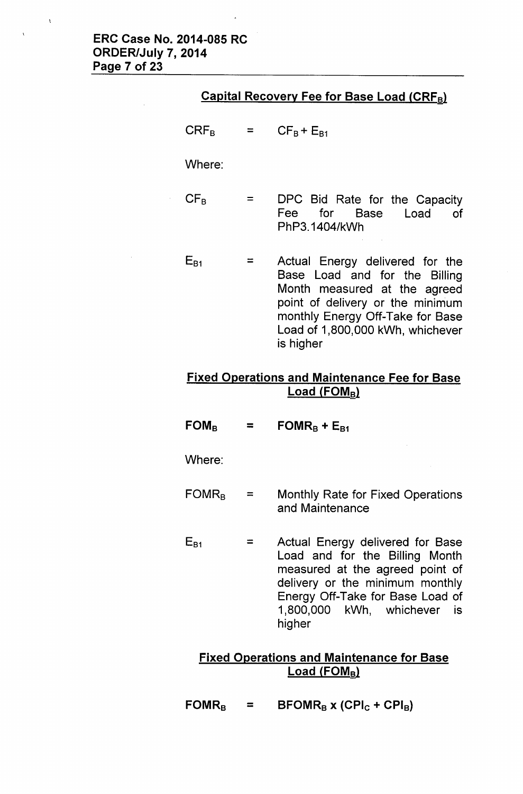|  | <u>Capital Recovery Fee for Base Load (CRF<sub>B</sub>)</u> |  |
|--|-------------------------------------------------------------|--|
|  |                                                             |  |

 $CRF_B$  $=$  $CF_B + E_{B1}$ 

Where:

- $CF_B$  $=$ DPC Bid Rate for the Capacity Fee for Base Load of PhP3.1404/kWh
- $E_{B1}$  $=$ Actual Energy delivered for the Base Load and for the Billing Month measured at the agreed point of delivery or the minimum monthly Energy Off-Take for Base Load of 1,800,000 kWh, whichever is higher

# **Fixed Operations and Maintenance Fee for Base Load (FOM<sup>s</sup>l**

 $FOM<sub>B</sub>$ =  $\textrm{FOMR}_B$  **+**  $\textrm{E}_{B1}$ 

Where:

- FOMRs  $=$ Monthly Rate for Fixed Operations and Maintenance
- $E_{B1}$ Actual Energy delivered for Base = Load and for the Billing Month measured at the agreed point of delivery or the minimum monthly Energy Off-Take for Base Load of 1,800,000 kWh, whichever is higher

# **Fixed Operations and Maintenance for Base Load** (FOM<sub>B</sub>)

 $\text{FORMR}_B$  =  $\text{BFOMR}_B$  **x** (CPI<sub>C</sub> + CPI<sub>B</sub>)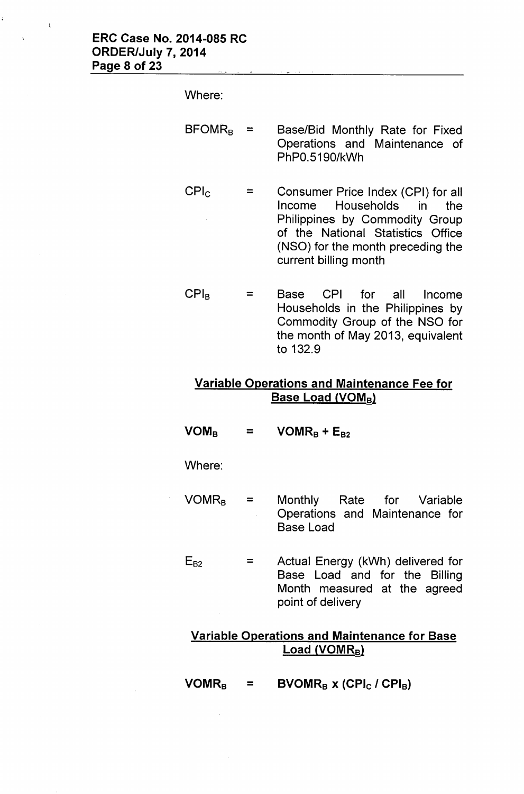Where:

 $BFOMR<sub>B</sub> =$  Base/Bid Monthly Rate for Fixed Operations and Maintenance of PhPO.5190/kWh

- CPlc  $=$ Consumer Price Index (CPI) for all Income Households in the Philippines by Commodity Group of the National Statistics Office (NSO) for the month preceding the current billing month
- CPls = Base CPI for all Income Households in the Philippines by Commodity Group of the NSO for the month of May 2013, equivalent to 132.9

# Variable Operations and Maintenance Fee for Base Load (VOMB)

 $VOM_B$  $=$  VOMR<sub>B</sub> + E<sub>B2</sub>

Where:

- $VOMR_B =$ Monthly Rate for Variable Operations and Maintenance for Base Load
- $E_{B2}$  = Actual Energy (kWh) delivered for Base Load and for the Billing Month measured at the agreed point of delivery

# Variable Operations and Maintenance for Base  $Load (VOMR_B)$

 $VOMR_B$  = BVOMR<sub>B</sub> x (CPI<sub>C</sub> / CPI<sub>B</sub>)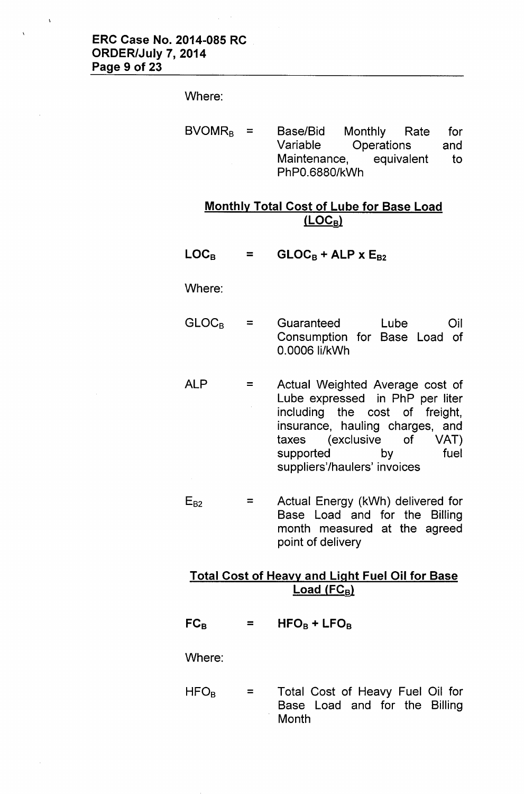#### Where:

BVOMR<sub>B</sub> = Base/Bid Monthly Rate for<br>Variable Operations and Operations and Maintenance, equivalent to PhPO.6880/kWh

# Monthly Total Cost of Lube for Base Load  $(LOC_B)$ </u>

LOC<sub>B</sub> =  $GLOC_B + ALP \times E_{B2}$ 

Where:

- GLOC<sub>B</sub> = Guaranteed Lube Oil Consumption for Base Load of 0.0006 Ii/kWh
- ALP = Actual Weighted Average cost of Lube expressed in PhP per liter  $\bar{z}$ including the cost of freight, insurance, hauling charges, and taxes (exclusive of VAT) supported by fuel suppliers'/haulers' invoices
- Actual Energy (kWh) delivered for  $E_{B2}$  $=$ Base Load and for the Billing month measured at the agreed point of delivery

### Total Cost of Heavy and Light Fuel Oil for Base  $Load (FC_B)$

 $FC_B$  $=$  $HFO_B + LFO_B$ 

Where:

HFOs  $=$ Total Cost of Heavy Fuel Oil for Base Load and for the Billing **Month**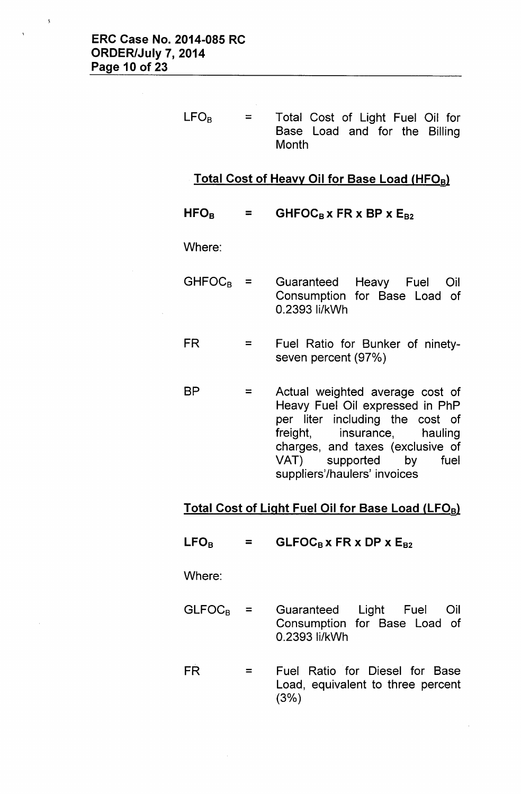$=$  $LFO_B$  = Total Cost of Light Fuel Oil for Base Load and for the Billing **Month** 

### Total Cost of Heavy Oil for Base Load (HFOB)

 $HFO<sub>B</sub>$  $=$  GHFOC<sub>B</sub> x FR x BP x E<sub>B2</sub>

Where:

- $GHFOC<sub>B</sub> =$  Guaranteed Heavy Fuel Oil Consumption for Base Load of 0.2393 Ii/kWh
- FR = Fuel Ratio for Bunker of ninetyseven percent (97%)
- BP = Actual weighted average cost of Heavy Fuel Oil expressed in PhP per liter including the cost of freight, insurance, hauling charges, and taxes (exclusive of VAT) supported by fuel suppliers'/haulers' invoices

# Total Cost of Light Fuel Oil for Base Load (LFOB)

 $LFO<sub>B</sub>$  $=$  GLFOC<sub>B</sub> x FR x DP x E<sub>B2</sub>

Where:

- $GLFOC_B =$ Guaranteed Light Fuel Oil Consumption for Base Load of 0.2393 ii/kWh
- $FR =$ Fuel Ratio for Diesel for Base Load, equivalent to three percent  $(3%)$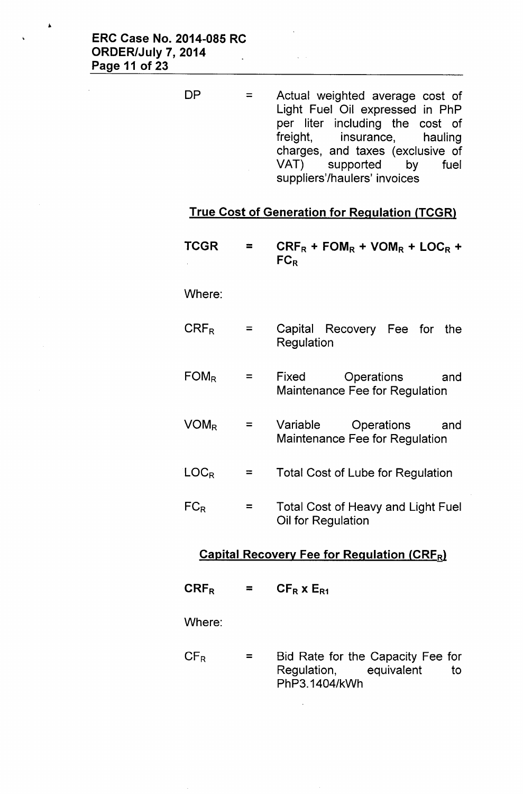=  $DP =$  Actual weighted average cost of Light Fuel Oil expressed in PhP per liter including the cost of freight, insurance, hauling charges, and taxes (exclusive of VAT) supported by fuel suppliers'/haulers' invoices

#### **True Cost of Generation for Regulation (TCGRl**

**TCGR**  $CRF_R$  **+**  $FOM_R$  **+**  $VOM_R$  **+**  $LOC_R$  **+** = **FC<sup>R</sup>** Where:  $CRF_R$ = Capital Recovery Fee for the Regulation  $FOM_R$ = Fixed Operations and Maintenance Fee for Regulation  $VOM_R$ = Variable Operations and Maintenance Fee for Regulation **LOCR** Total Cost of Lube for Regulation =  $FC_R$ = Total Cost of Heavy and Light Fuel Oil for Regulation **Capital Recovery Fee for Regulation (CRFR)**  $CRF_R$  $=$  $CF_R$  x  $E_{R1}$ 

Where:

 $CF_R$ = Bid Rate for the Capacity Fee for Regulation, equivalent to PhP3.1404/kWh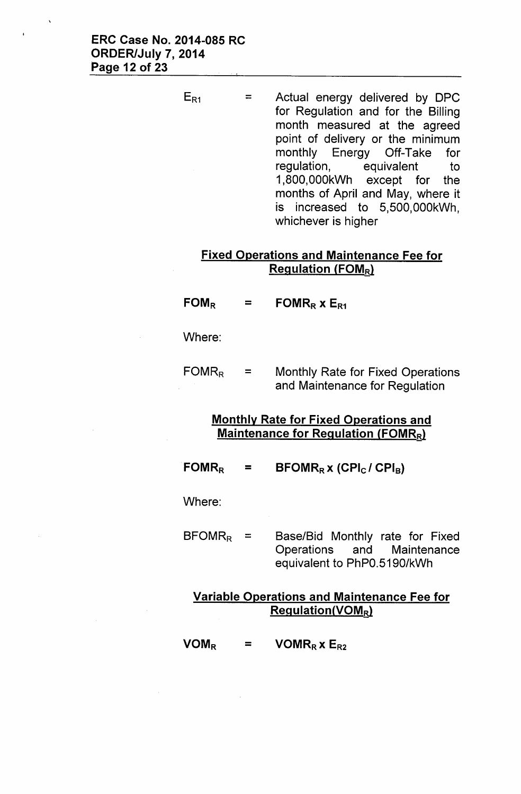$E_{R1}$  $=$  Actual energy delivered by DPC for Regulation and for the Billing month measured at the agreed point of delivery or the minimum monthly Energy Off-Take for regulation, equivalent to 1,800,OOOkWh except for the months of April and May, where it is increased to 5,500,OOOkWh, whichever is higher

# Fixed Operations and Maintenance Fee for **Regulation (FOM<sub>R</sub>)**

- $FOM_R$ FOMR<sub>R</sub>  $x E_{R1}$  $=$
- Where:
- $FOMR<sub>R</sub>$  = Monthly Rate for Fixed Operations and Maintenance for Regulation

# Monthly Rate for Fixed Operations and Maintenance for Regulation (FOMR<sub>R</sub>)

 $FOMR_R$  $\equiv$  $\text{BFOMR}_R$  x (CPI<sub>C</sub>/ CPI<sub>B</sub>)

Where:

 $BFORMR<sub>R</sub> =$ Base/Bid Monthly rate for Fixed Operations and Maintenance equivalent to PhPO.5190/kWh

# Variable Operations and Maintenance Fee for Regulation(VOMRl

 $VOM_R$  $=$  $VOMR_R$  x  $E_{R2}$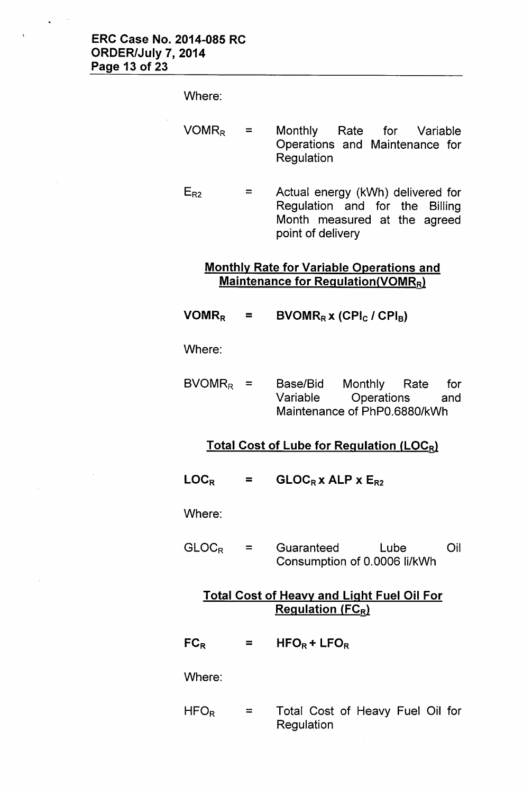#### Where:

- $VOMR_R =$  Monthly Rate for Variable Operations and Maintenance for **Regulation**
- $E_{R2}$ Actual energy (kWh) delivered for  $=$ Regulation and for the Billing Month measured at the agreed point of delivery

### Monthly Rate for Variable Operations and Maintenance for Regulation(VOMRR)

 $VOMR_R =$  $BVOMR_R x$  (CPI<sub>C</sub> / CPI<sub>B</sub>)

Where:

 $BVOMR<sub>R</sub>$  = Base/Bid Monthly Rate for Variable Operations and Maintenance of PhPO.6880/kWh

### Total Cost of Lube for Regulation (LOCR)

 $LOC_R$  $GLOC_Rx$  ALP  $x E_{R2}$ =

Where:

 $GLOC_R$ = Guaranteed Lube Oil Consumption of 0.0006 Ii/kWh

### Total Cost of Heavy and Light Fuel Oil For **Regulation (FCR)**

 $FC_R$  $HFO_R + LFO_R$  $=$ 

Where:

 $HFO<sub>R</sub>$ = Total Cost of Heavy Fuel Oil for **Regulation**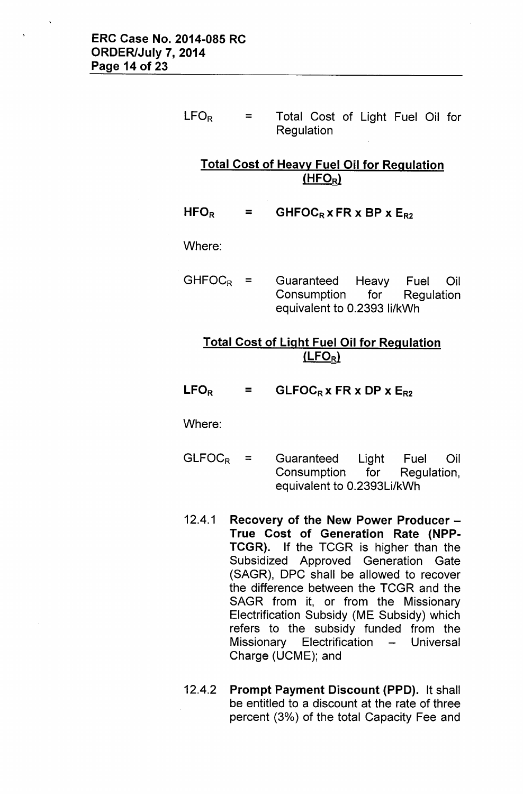$LFO_R$ = Total Cost of Light Fuel Oil for Regulation

# Total Cost of Heavy Fuel Oil for Regulation  $(HFO_R)$

 $HFO<sub>R</sub>$  $=$  GHFOC<sub>R</sub> x FR x BP x E<sub>R2</sub>

Where:

 $GHFOC_R =$  Guaranteed Heavy Fuel Oil Consumption for Regulation equivalent to 0.2393 Ii/kWh

# Total Cost of Light Fuel Oil for Regulation  $(LEO_R)$

 $LEO_R$  $=$  GLFOC<sub>R</sub> x FR x DP x E<sub>R2</sub>

Where:

- $GLFOC_R$  = Guaranteed Light Fuel Oil Consumption for Regulation, equivalent to 0.2393Li/kWh
- 12.4.1 Recovery of the New Power Producer -True Cost of Generation Rate (NPP-TCGR). If the TCGR is higher than the Subsidized Approved Generation Gate (SAGR), OPC shall be allowed to recover the difference between the TCGR and the SAGR from it, or from the Missionary Electrification Subsidy (ME Subsidy) which refers to the subsidy funded from the Missionary Electrification - Universal Charge (UCME); and
- 12.4.2 Prompt Payment Discount (PPD). It shall be entitled to a discount at the rate of three percent (3%) of the total Capacity Fee and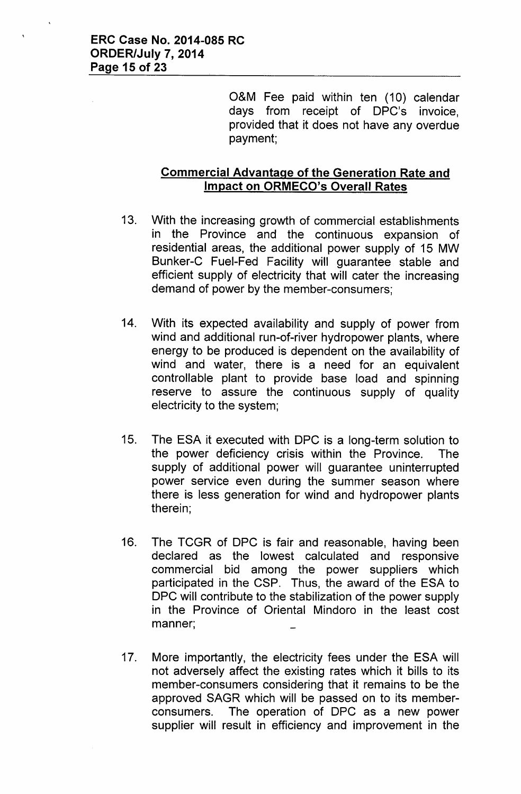O&M Fee paid within ten (10) calendar days from receipt of OPC's invoice, provided that it does not have any overdue payment;

# **Commercial Advantage of the Generation Rate and Impact on ORMECO's Overall Rates**

- 13. With the increasing growth of commercial establishments in the Province and the continuous expansion of residential areas, the additional power supply of 15 MW Bunker-C Fuel-Fed Facility will guarantee stable and efficient supply of electricity that will cater the increasing demand of power by the member-consumers;
- 14. With its expected availability and supply of power from wind and additional run-of-river hydropower plants, where energy to be produced is dependent on the availability of wind and water, there is a need for an equivalent controllable plant to provide base load and spinning reserve to assure the continuous supply of quality electricity to the system;
- 15. The ESA it executed with OPC is a long-term solution to the power deficiency crisis within the Province. The supply of additional power will guarantee uninterrupted power service even during the summer season where there is less generation for wind and hydropower plants therein;
- 16. The TCGR of OPC is fair and reasonable, having been declared as the lowest calculated and responsive commercial bid among the power suppliers which participated in the CSP. Thus, the award of the ESA to OPC will contribute to the stabilization of the power supply in the Province of Oriental Mindoro in the least cost manner;
- 17. More importantly, the electricity fees under the ESA will not adversely affect the existing rates which it bills to its member-consumers considering that it remains to be the approved SAGR which will be passed on to its memberconsumers. The operation of OPC as a new power supplier will result in efficiency and improvement in the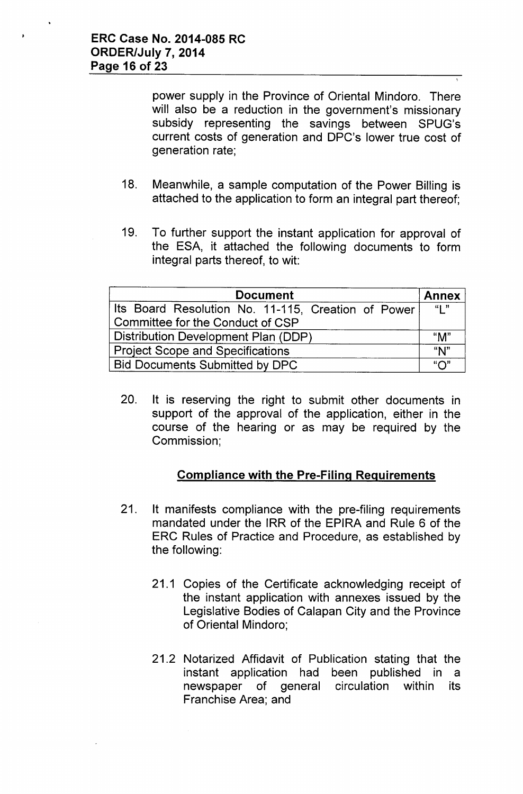power supply in the Province of Oriental Mindoro. There will also be a reduction in the government's missionary subsidy representing the savings between SPUG's current costs of generation and OPC's lower true cost of generation rate;

- 18. Meanwhile, a sample computation of the Power Billing is attached to the application to form an integral part thereof;
- 19. To further support the instant application for approval of the ESA, it attached the following documents to form integral parts thereof, to wit:

| <b>Document</b>                                    |                           |  |  |
|----------------------------------------------------|---------------------------|--|--|
| Its Board Resolution No. 11-115, Creation of Power | $\mathbf{u}$ $\mathbf{u}$ |  |  |
| Committee for the Conduct of CSP                   |                           |  |  |
| Distribution Development Plan (DDP)                |                           |  |  |
| <b>Project Scope and Specifications</b>            |                           |  |  |
| <b>Bid Documents Submitted by DPC</b>              | "∩"                       |  |  |

20. It is reserving the right to submit other documents in support of the approval of the application, either in the course of the hearing or as may be required by the Commission;

# Compliance with the Pre-Filing Requirements

- 21. It manifests compliance with the pre-filing requirements mandated under the IRR of the EPIRA and Rule 6 of the ERC Rules of Practice and Procedure, as established by the following:
	- 21.1 Copies of the Certificate acknowledging receipt of the instant application with annexes issued by the Legislative Bodies of Calapan City and the Province of Oriental Mindoro;
	- 21.2 Notarized Affidavit of Publication stating that the instant application had been published in a newspaper of general circulation within its Franchise Area; and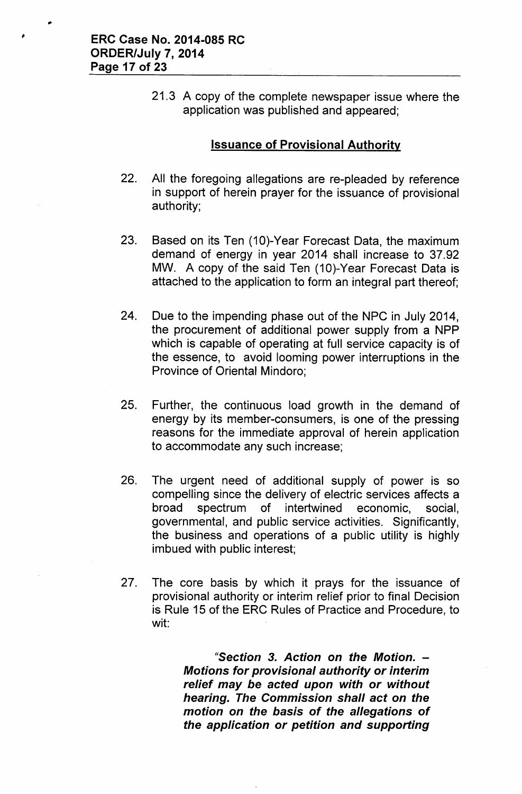21.3 A copy of the complete newspaper issue where the application was published and appeared;

### Issuance of Provisional Authority

- 22. All the foregoing allegations are re-pleaded by reference in support of herein prayer for the issuance of provisional authority;
- 23. Based on its Ten (10)-Year Forecast Data, the maximum demand of energy in year 2014 shall increase to 37.92 MW. A copy of the said Ten (10)-Year Forecast Data is attached to the application to form an integral part thereof;
- 24. Due to the impending phase out of the NPC in July 2014, the procurement of additional power supply from a NPP which is capable of operating at full service capacity is of the essence, to avoid looming power interruptions in the Province of Oriental Mindoro;
- 25. Further, the continuous load growth in the demand of energy by its member-consumers, is one of the pressing reasons for the immediate approval of herein application to accommodate any such increase;
- 26. The urgent need of additional supply of power is so compelling since the delivery of electric services affects a broad spectrum of intertwined economic, social, governmental, and public service activities. Significantly, the business and operations of a public utility is highly imbued with public interest;
- 27. The core basis by which it prays for the issuance of provisional authority or interim relief prior to final Decision is Rule 15 of the ERC Rules of Practice and Procedure, to wit:

*"Section* 3. *Action on the Motion. - Motions for provisional authority or interim relief may be acted upon with or without hearing. The Commission shall act on the motion on the basis* of *the allegations* of *the application or petition and supporting*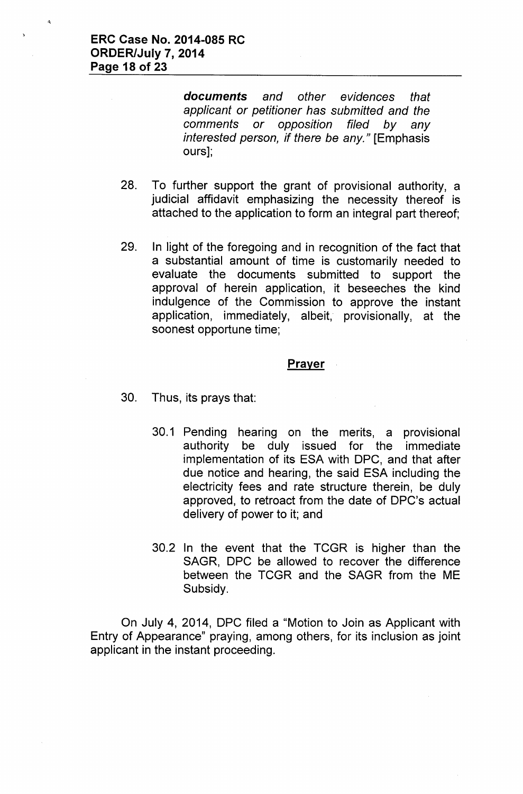*documents and other evidences that applicant or petitioner has submitted and the comments or opposition filed by any interested person, if there be any."* [Emphasis ours];

- 28. To further support the grant of provisional authority, a judicial affidavit emphasizing the necessity thereof is attached to the application to form an integral part thereof;
- 29. In light of the foregoing and in recognition of the fact that a substantial amount of time is customarily needed to evaluate the documents submitted to support the approval of herein application, it beseeches the kind indulgence of the Commission to approve the instant application, immediately, albeit, provisionally, at the soonest opportune time;

#### **Prayer**

- 30. Thus, its prays that:
	- 30.1 Pending hearing on the merits, a provisional authority be duly issued for the immediate implementation of its ESA with OPC, and that after due notice and hearing, the said ESA including the electricity fees and rate structure therein, be duly approved, to retroact from the date of OPC's actual delivery of power to it; and
	- 30.2 In the event that the TCGR is higher than the SAGR, OPC be allowed to recover the difference between the TCGR and the SAGR from the ME Subsidy.

On July 4, 2014, OPC filed a "Motion to Join as Applicant with Entry of Appearance" praying, among others, for its inclusion as joint applicant in the instant proceeding.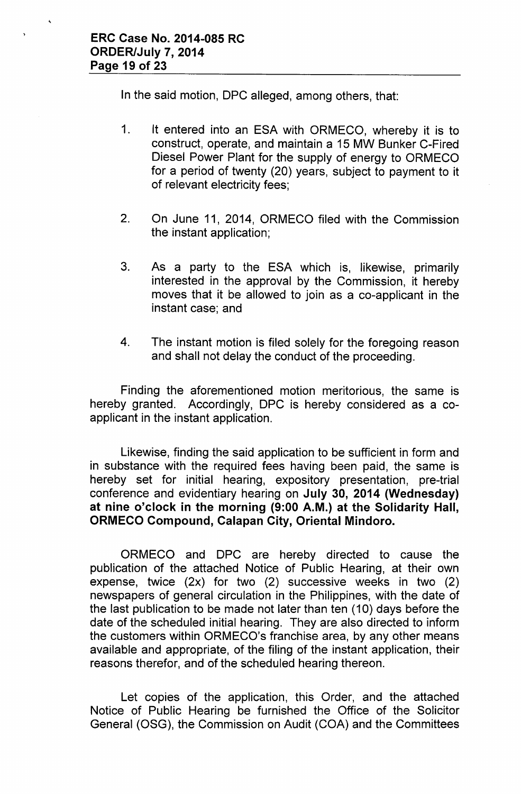In the said motion, OPC alleged, among others, that:

- 1. It entered into an ESA with ORMECO, whereby it is to construct, operate, and maintain a 15 MW Bunker C-Fired Oiesel Power Plant for the supply of energy to ORMECO for a period of twenty (20) years, subject to payment to it of relevant electricity fees;
- 2. On June 11, 2014, ORMECO filed with the Commission the instant application;
- 3. As a party to the ESA which is, likewise, primarily interested in the approval by the Commission, it hereby moves that it be allowed to join as a co-applicant in the instant case; and
- 4. The instant motion is filed solely for the foregoing reason and shall not delay the conduct of the proceeding.

Finding the aforementioned motion meritorious, the same is hereby granted. Accordingly, OPC is hereby considered as a coapplicant in the instant application.

Likewise, finding the said application to be sufficient in form and in substance with the required fees having been paid, the same is hereby set for initial hearing, expository presentation, pre-trial conference and evidentiary hearing on July 30, 2014 (Wednesday) at nine o'clock in the morning (9:00 A.M.) at the Solidarity Hall, ORMECO Compound, Calapan City, Oriental Mindoro.

ORMECO and OPC are hereby directed to cause the publication of the attached Notice of Public Hearing, at their own expense, twice (2x) for two (2) successive weeks in two (2) newspapers of general circulation in the Philippines, with the date of the last publication to be made not later than ten (10) days before the date of the scheduled initial hearing. They are also directed to inform the customers within ORMECO's franchise area, by any other means available and appropriate, of the filing of the instant application, their reasons therefor, and of the scheduled hearing thereon.

Let copies of the application, this Order, and the attached Notice of Public Hearing be furnished the Office of the Solicitor General (OSG), the Commission on Audit (COA) and the Committees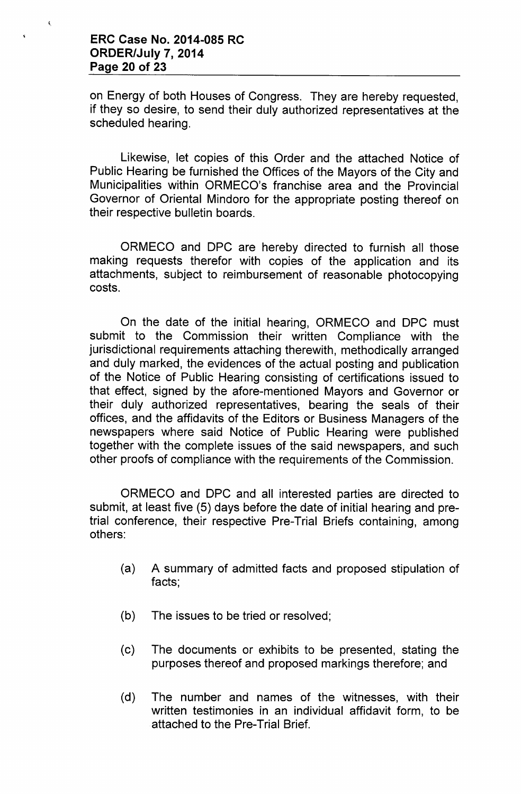$\preccurlyeq$ 

on Energy of both Houses of Congress. They are hereby requested, if they so desire, to send their duly authorized representatives at the scheduled hearing.

Likewise, let copies of this Order and the attached Notice of Public Hearing be furnished the Offices of the Mayors of the City and Municipalities within ORMECO's franchise area and the Provincial Governor of Oriental Mindoro for the appropriate posting thereof on their respective bulletin boards.

ORMECO and OPC are hereby directed to furnish all those making requests therefor with copies of the application and its attachments, subject to reimbursement of reasonable photocopying costs.

On the date of the initial hearing, ORMECO and OPC must submit to the Commission their written Compliance with the jurisdictional requirements attaching therewith, methodically arranged and duly marked, the evidences of the actual posting and publication of the Notice of Public Hearing consisting of certifications issued to that effect, signed by the afore-mentioned Mayors and Governor or their duly authorized representatives, bearing the seals of their offices, and the affidavits of the Editors or Business Managers of the newspapers where said Notice of Public Hearing were published together with the complete issues of the said newspapers, and such other proofs of compliance with the requirements of the Commission.

ORMECO and OPC and all interested parties are directed to submit, at least five (5) days before the date of initial hearing and pretrial conference, their respective Pre-Trial Briefs containing, among others:

- (a) A summary of admitted facts and proposed stipulation of facts;
- (b) The issues to be tried or resolved;
- (c) The documents or exhibits to be presented, stating the purposes thereof and proposed markings therefore; and
- (d) The number and names of the witnesses, with their written testimonies in an individual affidavit form, to be attached to the Pre-Trial Brief.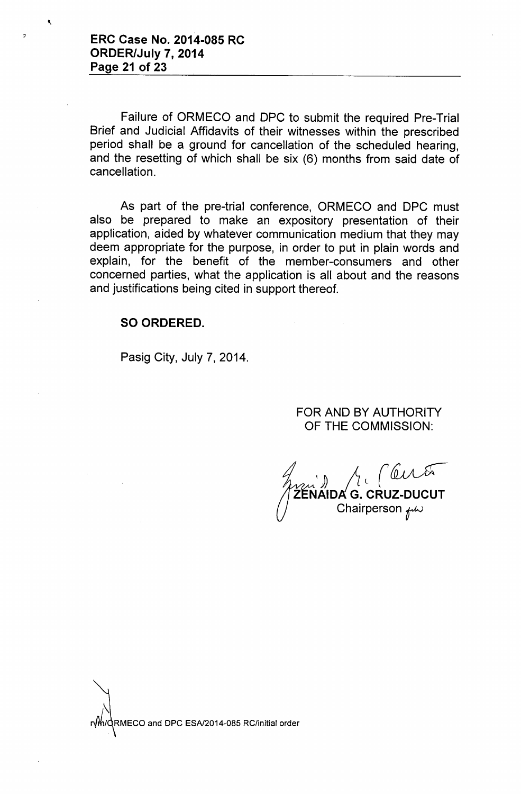$\overline{z}$ 

Failure of ORMECO and OPC to submit the required Pre-Trial Brief and Judicial Affidavits of their witnesses within the prescribed period shall be a ground for cancellation of the scheduled hearing, and the resetting of which shall be six (6) months from said date of cancellation.

As part of the pre-trial conference, ORMECO and OPC must also be prepared to make an expository presentation of their application, aided by whatever communication medium that they may deem appropriate for the purpose, in order to put in plain words and explain, for the benefit of the member-consumers and other concerned parties, what the application is all about and the reasons and justifications being cited in support thereof.

#### SO ORDERED.

Pasig City, July 7, 2014.

FOR AND BY AUTHORITY OF THE COMMISSION:

1 Chairperson  $\mu\omega$ 

 $\overline{\phantom{0}}$ RMECO and DPC ESA/2014-085 RC/initial order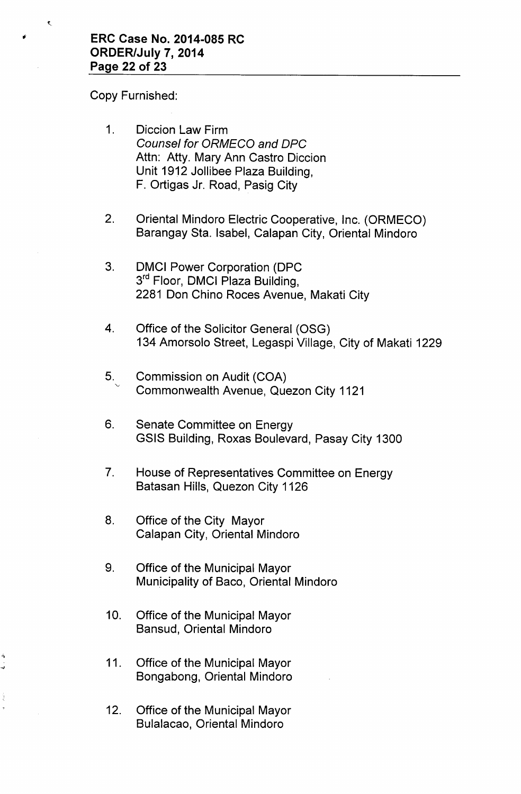Copy Furnished:

- 1. Diccion Law Firm *Counsel for ORMECO and OPC* Attn: Atty. Mary Ann Castro Diccion Unit 1912 Jollibee Plaza Building, F. Ortigas Jr. Road, Pasig City
- 2. Oriental Mindoro Electric Cooperative, Inc. (ORMECO) Barangay Sta. Isabel, Calapan City, Oriental Mindoro
- 3. DMCI Power Corporation (DPC 3<sup>rd</sup> Floor, DMCI Plaza Building 2281 Don Chino Roces Avenue, Makati City
- 4. Office of the Solicitor General (OSG) 134 Amorsolo Street, Legaspi Village, City of Makati 1229
- 5. Commission on Audit (COA) Commonwealth Avenue, Quezon City 1121
- 6. Senate Committee on Energy GSIS Building, Roxas Boulevard, Pasay City 1300
- 7. House of Representatives Committee on Energy Batasan Hills, Quezon City 1126
- 8. Office of the City Mayor Calapan City, Oriental Mindoro
- 9. Office of the Municipal Mayor Municipality of Baco, Oriental Mindoro
- 10. Office of the Municipal Mayor Bansud, Oriental Mindoro
- 11. Office of the Municipal Mayor Bongabong, Oriental Mindoro

"\

12. Office of the Municipal Mayor Bulalacao, Oriental Mindoro